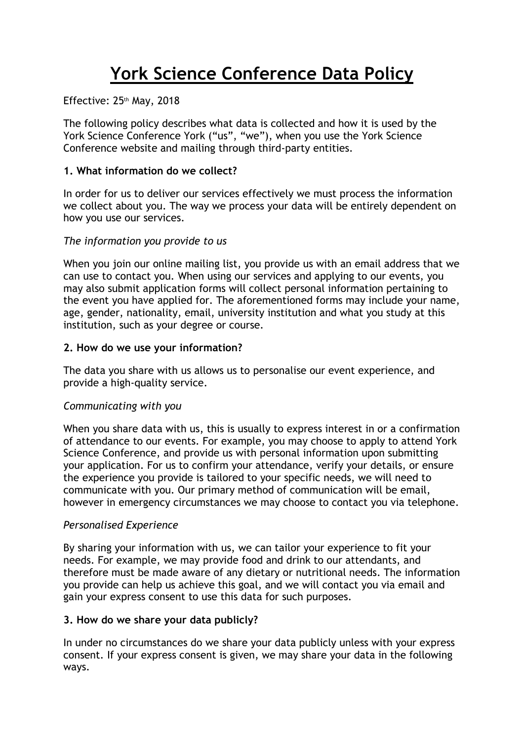# **York Science Conference Data Policy**

Effective: 25th May, 2018

The following policy describes what data is collected and how it is used by the York Science Conference York ("us", "we"), when you use the York Science Conference website and mailing through third-party entities.

## **1. What information do we collect?**

In order for us to deliver our services effectively we must process the information we collect about you. The way we process your data will be entirely dependent on how you use our services.

## *The information you provide to us*

When you join our online mailing list, you provide us with an email address that we can use to contact you. When using our services and applying to our events, you may also submit application forms will collect personal information pertaining to the event you have applied for. The aforementioned forms may include your name, age, gender, nationality, email, university institution and what you study at this institution, such as your degree or course.

## **2. How do we use your information?**

The data you share with us allows us to personalise our event experience, and provide a high-quality service.

# *Communicating with you*

When you share data with us, this is usually to express interest in or a confirmation of attendance to our events. For example, you may choose to apply to attend York Science Conference, and provide us with personal information upon submitting your application. For us to confirm your attendance, verify your details, or ensure the experience you provide is tailored to your specific needs, we will need to communicate with you. Our primary method of communication will be email, however in emergency circumstances we may choose to contact you via telephone.

## *Personalised Experience*

By sharing your information with us, we can tailor your experience to fit your needs. For example, we may provide food and drink to our attendants, and therefore must be made aware of any dietary or nutritional needs. The information you provide can help us achieve this goal, and we will contact you via email and gain your express consent to use this data for such purposes.

## **3. How do we share your data publicly?**

In under no circumstances do we share your data publicly unless with your express consent. If your express consent is given, we may share your data in the following ways.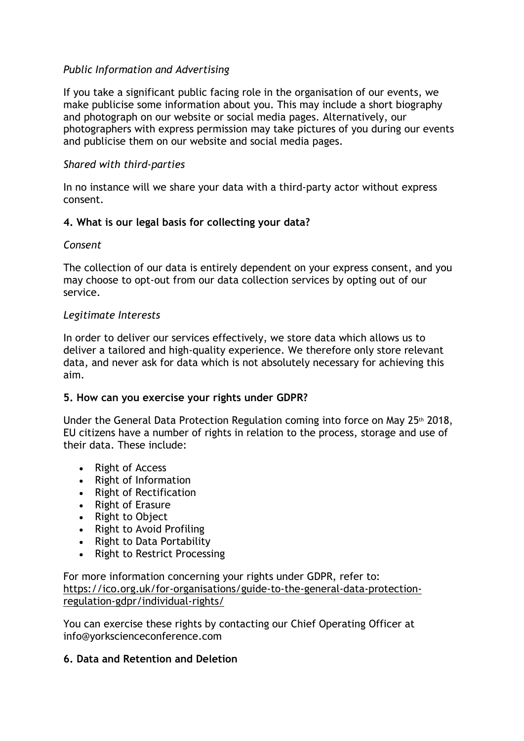## *Public Information and Advertising*

If you take a significant public facing role in the organisation of our events, we make publicise some information about you. This may include a short biography and photograph on our website or social media pages. Alternatively, our photographers with express permission may take pictures of you during our events and publicise them on our website and social media pages.

## *Shared with third-parties*

In no instance will we share your data with a third-party actor without express consent.

## **4. What is our legal basis for collecting your data?**

## *Consent*

The collection of our data is entirely dependent on your express consent, and you may choose to opt-out from our data collection services by opting out of our service.

## *Legitimate Interests*

In order to deliver our services effectively, we store data which allows us to deliver a tailored and high-quality experience. We therefore only store relevant data, and never ask for data which is not absolutely necessary for achieving this aim.

## **5. How can you exercise your rights under GDPR?**

Under the General Data Protection Regulation coming into force on May 25th 2018, EU citizens have a number of rights in relation to the process, storage and use of their data. These include:

- Right of Access
- Right of Information
- Right of Rectification
- Right of Erasure
- Right to Object
- Right to Avoid Profiling
- Right to Data Portability
- Right to Restrict Processing

For more information concerning your rights under GDPR, refer to: [https://ico.org.uk/for-organisations/guide-to-the-general-data-protection](https://ico.org.uk/for-organisations/guide-to-the-general-data-protection-regulation-gdpr/individual-rights/)[regulation-gdpr/individual-rights/](https://ico.org.uk/for-organisations/guide-to-the-general-data-protection-regulation-gdpr/individual-rights/)

You can exercise these rights by contacting our Chief Operating Officer at info@yorkscienceconference.com

## **6. Data and Retention and Deletion**